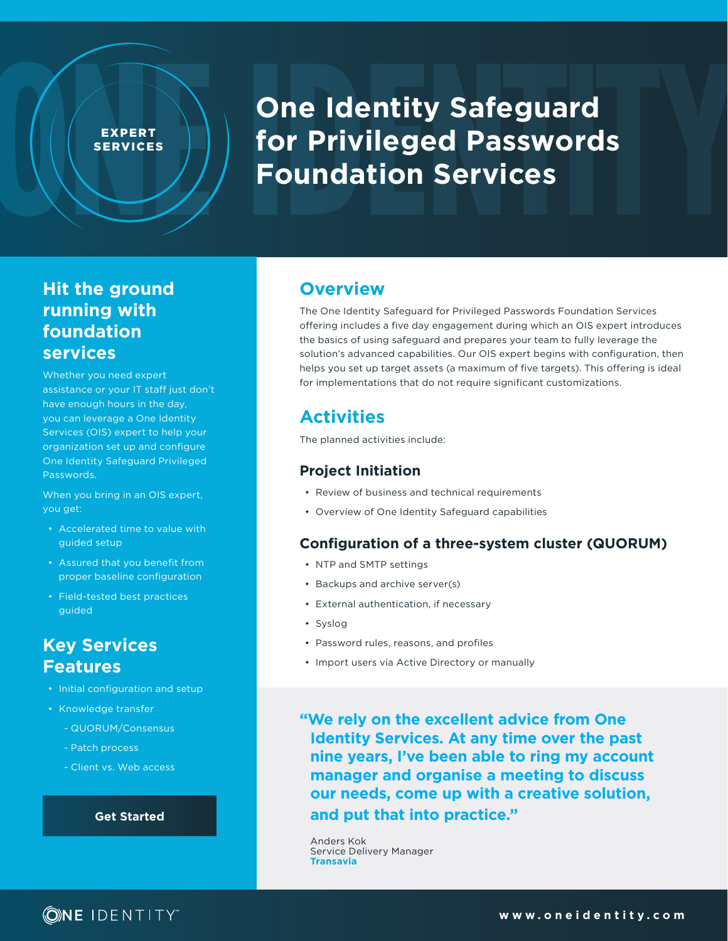#### EXPERT SERVICES

# **One Identity Safeguard for Privileged Passwords Foundation Services**

## **Hit the ground running with foundation services**

Whether you need expert assistance or your IT staff just don't have enough hours in the day, you can leverage a One Identity Services (OIS) expert to help your organization set up and configure One Identity Safeguard Privileged Passwords.

When you bring in an OIS expert, you get:

- Accelerated time to value with guided setup
- Assured that you benefit from proper baseline configuration
- Field-tested best practices guided

## **Key Services Features**

- Initial configuration and setup
- Knowledge transfer
	- QUORUM/Consensus
	- Patch process
	- Client vs. Web access

#### **[Get Started](https://app.smartsheet.com/b/form/e250a4b6cff047dfb1e8a97c5a7a0439)**

## **Overview**

The One Identity Safeguard for Privileged Passwords Foundation Services offering includes a five day engagement during which an OIS expert introduces the basics of using safeguard and prepares your team to fully leverage the solution's advanced capabilities. Our OIS expert begins with configuration, then helps you set up target assets (a maximum of five targets). This offering is ideal for implementations that do not require significant customizations.

## **Activities**

The planned activities include:

#### **Project Initiation**

- Review of business and technical requirements
- Overview of One Identity Safeguard capabilities

#### **Configuration of a three-system cluster (QUORUM)**

- NTP and SMTP settings
- Backups and archive server(s)
- External authentication, if necessary
- Syslog
- Password rules, reasons, and profiles
- Import users via Active Directory or manually

**"We rely on the excellent advice from One Identity Services. At any time over the past nine years, I've been able to ring my account manager and organise a meeting to discuss our needs, come up with a creative solution, and put that into practice."** 

Anders Kok Service Delivery Manager **Transavia**

## **ONE IDENTITY**